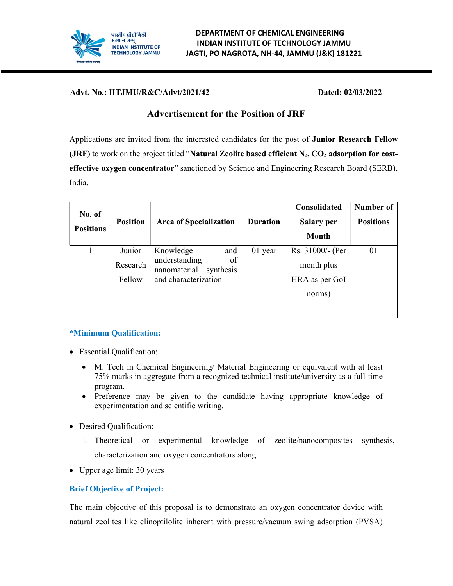

Advt. No.: IITJMU/R&C/Advt/2021/42 Dated: 02/03/2022

# Advertisement for the Position of JRF

Applications are invited from the interested candidates for the post of Junior Research Fellow (JRF) to work on the project titled "Natural Zeolite based efficient  $N_2$ ,  $CO_2$  adsorption for costeffective oxygen concentrator" sanctioned by Science and Engineering Research Board (SERB), India.

| No. of<br><b>Positions</b> | <b>Position</b>              | <b>Area of Specialization</b>                                                                | <b>Duration</b> | Consolidated<br>Salary per<br><b>Month</b>                 | Number of<br><b>Positions</b> |
|----------------------------|------------------------------|----------------------------------------------------------------------------------------------|-----------------|------------------------------------------------------------|-------------------------------|
|                            | Junior<br>Research<br>Fellow | Knowledge<br>and<br>understanding<br>of<br>nanomaterial<br>synthesis<br>and characterization | 01 year         | Rs. 31000/- (Per<br>month plus<br>HRA as per GoI<br>norms) | 01                            |

# \*Minimum Qualification:

- Essential Qualification:
	- M. Tech in Chemical Engineering/ Material Engineering or equivalent with at least 75% marks in aggregate from a recognized technical institute/university as a full-time program.
	- Preference may be given to the candidate having appropriate knowledge of experimentation and scientific writing.
- Desired Qualification:
	- 1. Theoretical or experimental knowledge of zeolite/nanocomposites synthesis, characterization and oxygen concentrators along
- Upper age limit: 30 years

# Brief Objective of Project:

The main objective of this proposal is to demonstrate an oxygen concentrator device with natural zeolites like clinoptilolite inherent with pressure/vacuum swing adsorption (PVSA)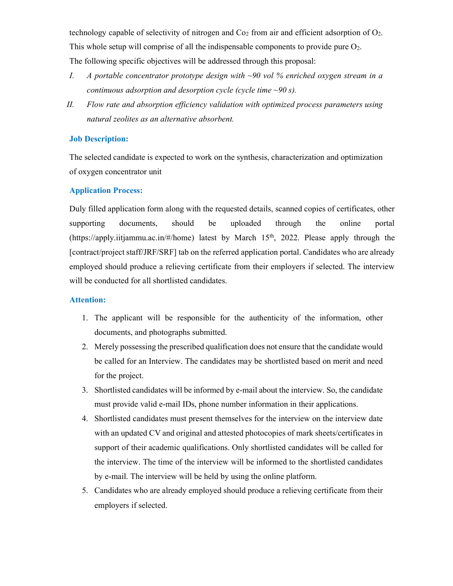technology capable of selectivity of nitrogen and  $Co<sub>2</sub>$  from air and efficient adsorption of  $O<sub>2</sub>$ . This whole setup will comprise of all the indispensable components to provide pure  $O_2$ . The following specific objectives will be addressed through this proposal:

- I. A portable concentrator prototype design with  $\sim$ 90 vol % enriched oxygen stream in a continuous adsorption and desorption cycle (cycle time  $\sim 90$  s).
- II. Flow rate and absorption efficiency validation with optimized process parameters using natural zeolites as an alternative absorbent.

### Job Description:

The selected candidate is expected to work on the synthesis, characterization and optimization of oxygen concentrator unit

#### Application Process:

Duly filled application form along with the requested details, scanned copies of certificates, other supporting documents, should be uploaded through the online portal (https://apply.iitjammu.ac.in/#/home) latest by March  $15<sup>th</sup>$ , 2022. Please apply through the [contract/project staff/JRF/SRF] tab on the referred application portal. Candidates who are already employed should produce a relieving certificate from their employers if selected. The interview will be conducted for all shortlisted candidates.

#### Attention:

- 1. The applicant will be responsible for the authenticity of the information, other documents, and photographs submitted.
- 2. Merely possessing the prescribed qualification does not ensure that the candidate would be called for an Interview. The candidates may be shortlisted based on merit and need for the project.
- 3. Shortlisted candidates will be informed by e-mail about the interview. So, the candidate must provide valid e-mail IDs, phone number information in their applications.
- 4. Shortlisted candidates must present themselves for the interview on the interview date with an updated CV and original and attested photocopies of mark sheets/certificates in support of their academic qualifications. Only shortlisted candidates will be called for the interview. The time of the interview will be informed to the shortlisted candidates by e-mail. The interview will be held by using the online platform.
- 5. Candidates who are already employed should produce a relieving certificate from their employers if selected.